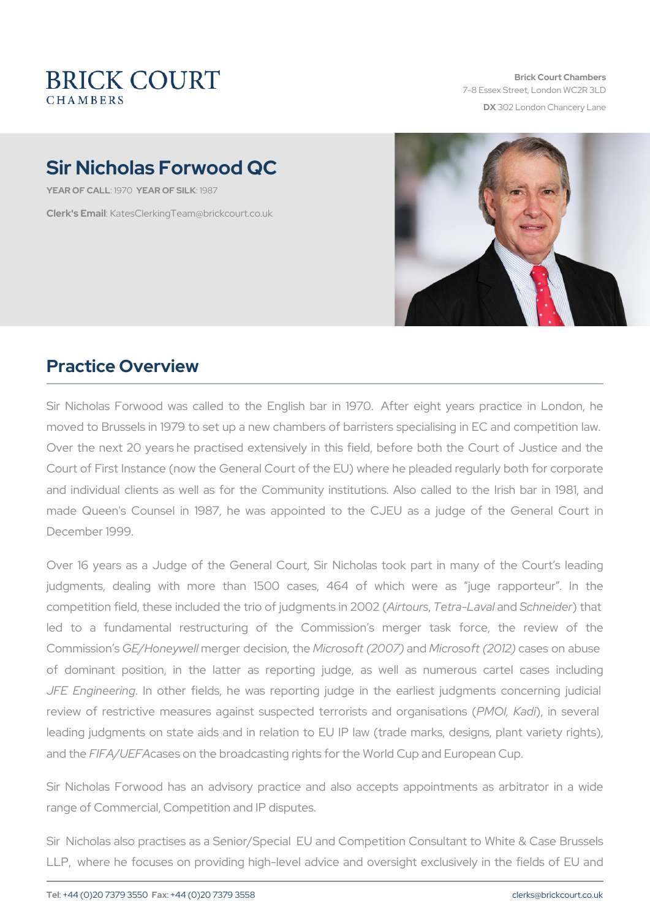Brick Court Chambers 7-8 Essex Street, London WC2 DX 302 London Chancery La

# Sir Nicholas Forwood QC

YEAR OF CALLEY CAR OF SILLENS 7

Clerk's EmatesClerkingTeam@brickcourt.co.uk

### Practice Overview

Sir Nicholas Forwood was called to the English bar in 1970. Aft moved to Brussels in 1979 to set up a new chambers of barristers sp Over the next 20 years he practised extensively in this field, befor Court of First Instance (now the General Court of the EU) where he p and individual clients as well as for the Community institutions. A made Queen's Counsel in 1987, he was appointed to the CJEU as December 1999.

Over 16 years as a Judge of the General Court, Sir Nicholas took judgments, dealing with more than 1500 cases, 464 of which competition field, these included the triAoird by Tuesthy an-eLnabus and n 2002 (entrational the se led to a fundamental restructuring of the Commission s mer-CommissiGE/Honeymmelriger decisiVocingfotshoeft (2a0nOld7i)crosoft (2a01423 on abus of dominant position, in the latter as reporting judge, as well JFE Engineelming ther fields, he was reporting judge in the earlies review of restrictive measures against suspected Mt@lro)Kiasdinis and denoar leading judgments on state aids and in relation to EU IP law (trade and the FA/U E ass on the broadcasting rights for the World Cup and European Cup.

Sir Nicholas Forwood has an advisory practice and also accepts range of Commercial, Competition and IP disputes.

Sir Nicholas also practises as a Senior/Special EU and Competition LLP, where he focuses on providing high-level advice and oversigh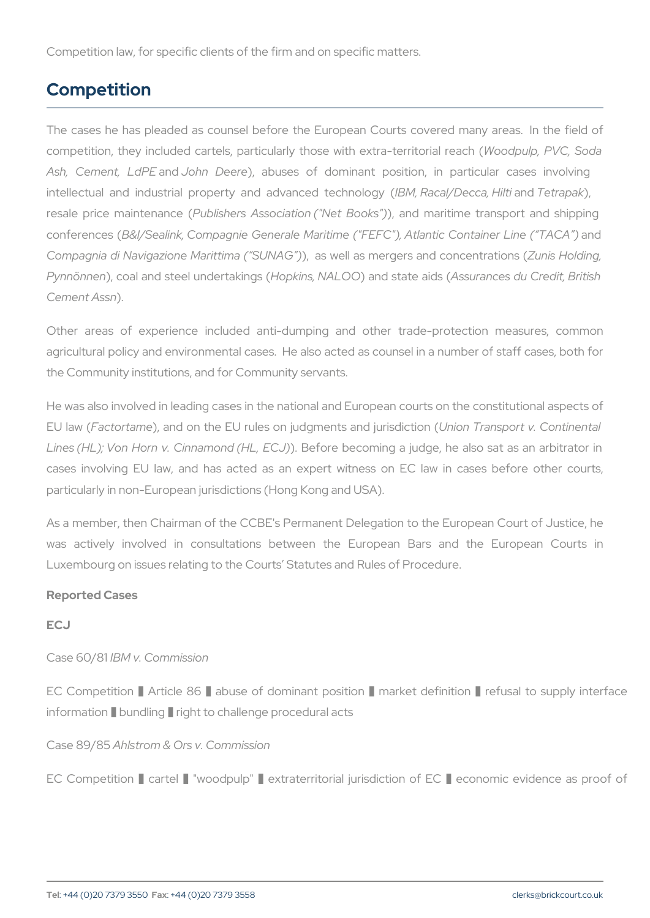Competition law, for specific clients of the firm and on specific matter

#### Competition

The cases he has pleaded as counsel before the European Courts of competition, they included cartels, particularly thosodputtlp, eRMG; teSno Ash, CementandJohn Deerabuses of dominant position, in partic intellectual and industrial property an $\log M$ , dRanceae AD etaencehT, rebelinidatop, yak ( resale price mainPubliance is ( Association ), ("Net Bootakish") e transport an conferen  $Bess$ I/Sealink, Compagnie Generale Maritime ("FEFC"), ant danti Compagnia di Navigazione Ma)r, ittams aw (el SUANS AnG e) gers and Zucnoins cel not di chiop Pynnön), encoal and steel unholopinkianksing (NSA 1400 state A sasid sances du Credit, Cement Assn

Other areas of experience included anti-dumping and other tra agricultural policy and environmental cases. He also acted as counse the Community institutions, and for Community servants.

He was also involved in leading cases in the national and European c EU la Fiva of tortamend on the EU rules on judgments and ajrust production Continent Lines (HL); Von Horn v. CinhamBefiod retHbecbooling a judge, he also sat cases involving EU law, and has acted as an expert witness on particularly in non-European jurisdictions (Hong Kong and USA).

As a member, then Chairman of the CCBE's Permanent Delegation to was actively involved in consultations between the European Luxembourg on issues relating to the Courts Statutes and Rules of Pr

Reported Cases

ECJ

Case 60/BBMI v. Commission

EC Competition % Article 86 % abuse of dominant position % mark information % bundling % right to challenge procedural acts

Case 89A&h5strom & Ors v. Commission

EC Competition % cartel % "woodpulp" % extraterritorial jurisdiction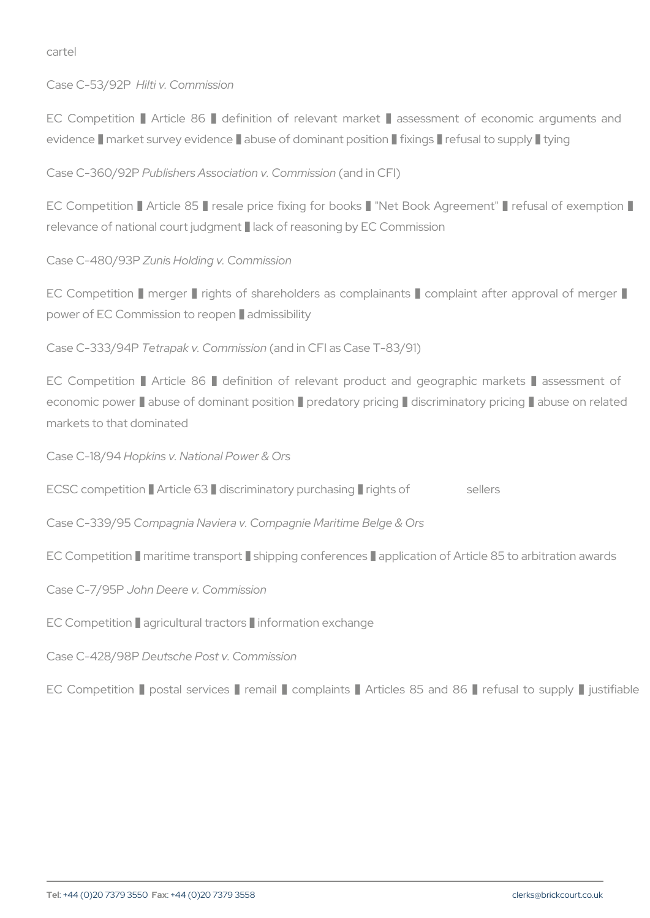cartel

Case C-53/H9i2 Pi v. Commission

EC Competition % Article 86 % definition of relevant market % and evidence % market survey evidence % abuse of dominant position % fi

Case C-360P9u2b Pishers Association (and im mussion

EC Competition % Article 85 % resale price fixing for books % "Net relevance of national court judgment % lack of reasoning by EC Comm

Case C-480Z9u3nPs Holding v. Commission

EC Competition % merger % rights of shareholders as complainants power of EC Commission to reopen % admissibility

Case  $C-333T@4Papak v. Commin'sion CFI as Case T-83/91)$ 

EC Competition % Article 86 % definition of relevant product an economic power % abuse of dominant position % predatory pricing % markets to that dominated

Case C-18/69p4 kins v. National Power & Ors

ECSC competition % Article 63 % discriminatory purchasing % rights of

Case C-330/09n5 pagnia Naviera v. Compagnie Maritime Belge & Ors

EC Competition % maritime transport % shipping conferences % applic

Case C-7/965Ph Deere v. Commission

EC Competition % agricultural tractors % information exchange

Case C-428D Deal Psche Post v. Commission

EC Competition % postal services % remail % complaints % Articl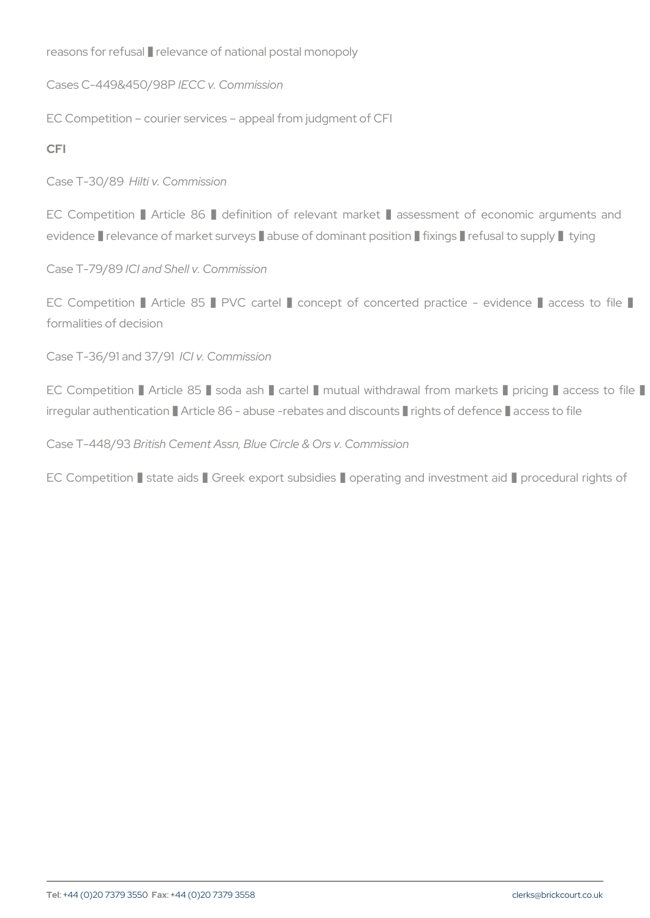reasons for refusal % relevance of national postal monopoly Cases C-449&45EGGBP. Commission

EC Competition courier services appeal from judgment of CFI CFI

Case T-30 H& Biv. Commission

EC Competition % Article 86 % definition of relevant market % evidence % relevance of market surveys % abuse of dominant position

Case T-79  $C39$ and Shell v. Commission

EC Competition % Article 85 % PVC cartel % concept of concert formalities of decision

 $Case T-36/91$  and  $8/37/901$  om mission

EC Competition % Article 85 % soda ash % cartel % mutual withdrawal from markets with irregular authentication % Article 86 - abuse -rebates and discounts %

Case T-44 B/r9 Bish Cement Assn, Blue Circle & Ors v. Commission

EC Competition % state aids % Greek export subsidies % operating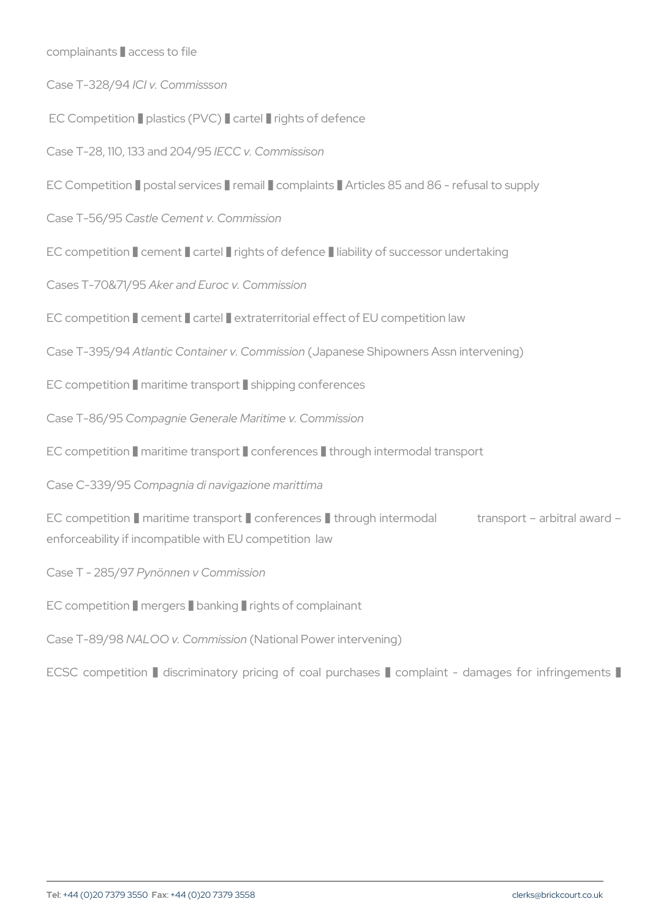complainants % access to file

Case T-328C94v. Commissson

EC Competition % plastics (PVC) % cartel % rights of defence

 $Case T-28, 110, 133$  EaChd  $204$ / $9$ 15 missison

EC Competition % postal services % remail % complaints % Articles 85 Case T-56C/&stle Cement v. Commission

EC competition % cement % cartel % rights of defence % liability of su Cases T-70&AHeg5and Euroc v. Commission

EC competition % cement % cartel % extraterritorial effect of EU competition law

Case T-39 At Paintic Container v. (Cappramesse ich Shipowners Assn intervening

EC competition % maritime transport % shipping conferences

Case T-86/95 Compagnie Generale Maritime v. Commission

EC competition % maritime transport % conferences % through intermo

Case C-330/0905 pagnia di navigazione marittima

EC competition % maritime transport % conferences % through interm enforceability if incompatible with EU competition law

Case T - 285/h9ö7nnen v Commission

EC competition % mergers % banking % rights of complainant

Case T-89VABOO v. Comminstion al Power intervening)

ECSC competition % discriminatory pricing of coal purchases % complaint - damages for infrint - damages for infringements with  $C$